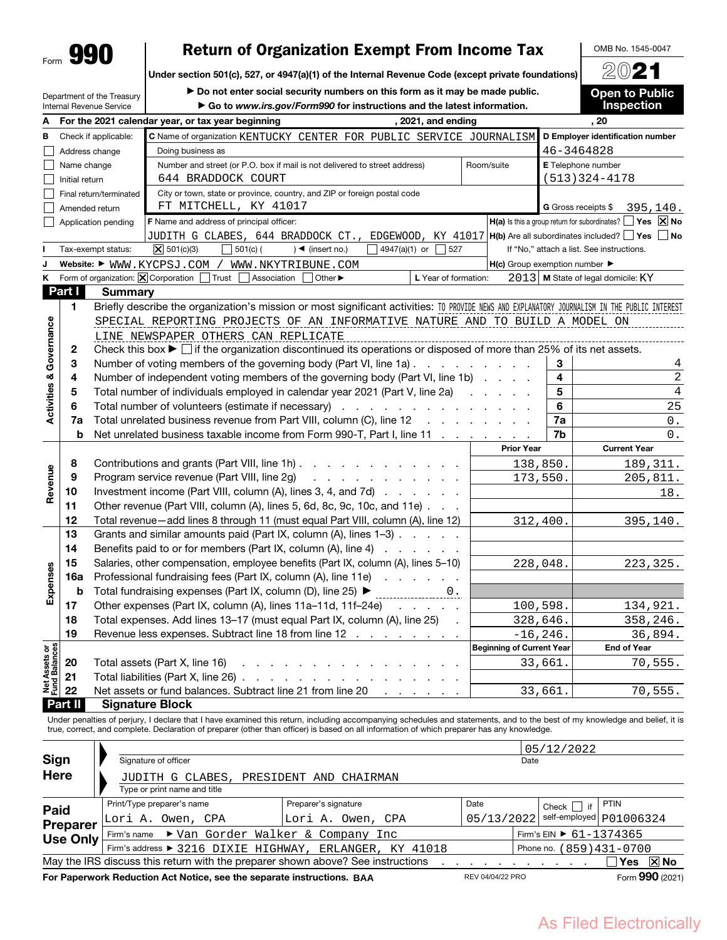OMB No. 1545-0047 20**21**

**Return of Organization Exempt From Income Tax Under section 501(c), 527, or 4947(a)(1) of the Internal Revenue Code (except private foundations)**

Department of the Treasury

▶ Do not enter social security numbers on this form as it may be made public. a **Go to** *www.irs.gov/Form990* **for instructions and the latest information.**

**Open to Public Inspection**

|                                    |                | Internal Revenue Service                          | ▶ Go to www.irs.gov/Form990 for instructions and the latest information.                                                                      | <b>Inspection</b>                                                    |                |                                           |  |  |  |
|------------------------------------|----------------|---------------------------------------------------|-----------------------------------------------------------------------------------------------------------------------------------------------|----------------------------------------------------------------------|----------------|-------------------------------------------|--|--|--|
| A                                  |                | For the 2021 calendar year, or tax year beginning | , 20                                                                                                                                          |                                                                      |                |                                           |  |  |  |
| в                                  |                | Check if applicable:                              | C Name of organization KENTUCKY CENTER FOR PUBLIC SERVICE JOURNALISM                                                                          |                                                                      |                | D Employer identification number          |  |  |  |
|                                    |                | Address change                                    | Doing business as                                                                                                                             |                                                                      | 46-3464828     |                                           |  |  |  |
|                                    | Name change    |                                                   | Number and street (or P.O. box if mail is not delivered to street address)                                                                    | Room/suite                                                           |                | E Telephone number                        |  |  |  |
|                                    | Initial return |                                                   | 644 BRADDOCK COURT                                                                                                                            |                                                                      |                | (513)324-4178                             |  |  |  |
|                                    |                | Final return/terminated                           |                                                                                                                                               |                                                                      |                |                                           |  |  |  |
|                                    |                | Amended return                                    |                                                                                                                                               | <b>G</b> Gross receipts \$<br>395,140.                               |                |                                           |  |  |  |
|                                    |                | Application pending                               |                                                                                                                                               | $H(a)$ is this a group return for subordinates? $\Box$ Yes $\Box$ No |                |                                           |  |  |  |
|                                    |                |                                                   | JUDITH G CLABES, 644 BRADDOCK CT., EDGEWOOD, KY 41017 <b>H(b)</b> Are all subordinates included? $\Box$ Yes $\Box$ No                         |                                                                      |                |                                           |  |  |  |
|                                    |                | Tax-exempt status:                                | $ \mathsf{X} $ 501(c)(3)<br>$501(c)$ (<br>$4947(a)(1)$ or<br>527<br>$) \triangleleft$ (insert no.)                                            |                                                                      |                | If "No," attach a list. See instructions. |  |  |  |
| J                                  |                |                                                   | Website: $\blacktriangleright$ WWW.KYCPSJ.COM / WWW.NKYTRIBUNE.COM                                                                            | $H(c)$ Group exemption number $\blacktriangleright$                  |                |                                           |  |  |  |
| ĸ                                  |                |                                                   | Form of organization: $ \mathsf{X} $ Corporation     Trust     Association<br>Other ▶<br>L Year of formation:                                 |                                                                      |                | 2013 M State of legal domicile: KY        |  |  |  |
|                                    | Part I         | <b>Summary</b>                                    |                                                                                                                                               |                                                                      |                |                                           |  |  |  |
|                                    | $\blacksquare$ |                                                   | Briefly describe the organization's mission or most significant activities: TO PROVIDE NEWS AND EXPLANATORY JOURNALISM IN THE PUBLIC INTEREST |                                                                      |                |                                           |  |  |  |
|                                    |                |                                                   | SPECIAL REPORTING PROJECTS OF AN INFORMATIVE NATURE AND TO BUILD A MODEL ON                                                                   |                                                                      |                |                                           |  |  |  |
|                                    |                |                                                   | LINE NEWSPAPER OTHERS CAN REPLICATE                                                                                                           |                                                                      |                |                                           |  |  |  |
|                                    | 2              |                                                   | Check this box $\blacktriangleright$ $\Box$ if the organization discontinued its operations or disposed of more than 25% of its net assets.   |                                                                      |                |                                           |  |  |  |
|                                    | 3              |                                                   | Number of voting members of the governing body (Part VI, line 1a)                                                                             |                                                                      | 3              | 4                                         |  |  |  |
|                                    | 4              |                                                   | Number of independent voting members of the governing body (Part VI, line 1b)                                                                 |                                                                      | 4              | $\overline{c}$                            |  |  |  |
|                                    | 5              |                                                   | Total number of individuals employed in calendar year 2021 (Part V, line 2a)                                                                  | 5                                                                    | $\overline{4}$ |                                           |  |  |  |
| <b>Activities &amp; Governance</b> | 6              |                                                   | Total number of volunteers (estimate if necessary) respectively. Total number of volunteers (estimate if necessary) respectively.             | 6                                                                    | 25             |                                           |  |  |  |
|                                    | 7a             |                                                   | Total unrelated business revenue from Part VIII, column (C), line 12                                                                          | the company of the company of                                        | 7a             | $\boldsymbol{0}$ .                        |  |  |  |
|                                    | b              |                                                   | Net unrelated business taxable income from Form 990-T, Part I, line 11                                                                        |                                                                      | 7b             | 0.                                        |  |  |  |
|                                    |                |                                                   |                                                                                                                                               | <b>Prior Year</b>                                                    |                | <b>Current Year</b>                       |  |  |  |
|                                    | 8              |                                                   | Contributions and grants (Part VIII, line 1h)                                                                                                 | 138,850.                                                             |                | 189, 311.                                 |  |  |  |
| Revenue                            | 9              |                                                   | Program service revenue (Part VIII, line 2g)<br>and a straightful and a straight and                                                          | 173,550.                                                             |                | 205,811.                                  |  |  |  |
|                                    | 10             |                                                   | Investment income (Part VIII, column (A), lines 3, 4, and 7d)                                                                                 |                                                                      |                | 18.                                       |  |  |  |
|                                    | 11             |                                                   | Other revenue (Part VIII, column (A), lines 5, 6d, 8c, 9c, 10c, and 11e)                                                                      |                                                                      |                |                                           |  |  |  |
|                                    | 12             |                                                   | Total revenue-add lines 8 through 11 (must equal Part VIII, column (A), line 12)                                                              | 312,400.                                                             |                | 395,140.                                  |  |  |  |
|                                    | 13             |                                                   | Grants and similar amounts paid (Part IX, column (A), lines 1-3)                                                                              |                                                                      |                |                                           |  |  |  |
|                                    | 14             |                                                   | Benefits paid to or for members (Part IX, column (A), line 4)                                                                                 |                                                                      |                |                                           |  |  |  |
|                                    | 15             |                                                   | Salaries, other compensation, employee benefits (Part IX, column (A), lines 5–10)                                                             | 228,048.                                                             |                | 223, 325.                                 |  |  |  |
| Expenses                           | 16a            |                                                   | Professional fundraising fees (Part IX, column (A), line 11e)                                                                                 |                                                                      |                |                                           |  |  |  |
|                                    | b              |                                                   | Total fundraising expenses (Part IX, column (D), line 25) ▶<br>0.                                                                             |                                                                      |                |                                           |  |  |  |
|                                    | 17             |                                                   | Other expenses (Part IX, column (A), lines 11a-11d, 11f-24e)<br>.                                                                             | 100,598.                                                             |                | 134,921.                                  |  |  |  |
|                                    | 18             |                                                   | Total expenses. Add lines 13-17 (must equal Part IX, column (A), line 25)                                                                     | 328,646.                                                             |                | 358,246.                                  |  |  |  |
|                                    | 19             |                                                   | Revenue less expenses. Subtract line 18 from line 12                                                                                          |                                                                      | $-16, 246.$    | 36,894.                                   |  |  |  |
| Net Assets or<br>Fund Balances     |                |                                                   |                                                                                                                                               | <b>Beginning of Current Year</b>                                     |                | <b>End of Year</b>                        |  |  |  |
|                                    | 20             |                                                   | Total assets (Part X, line 16)<br>and the contract of the con-<br>$\sim$ $\sim$ $\sim$<br>$\sim$ $\sim$                                       |                                                                      | 33,661.        | 70,555.                                   |  |  |  |
|                                    | 21             |                                                   | Total liabilities (Part X, line 26).<br>and a state of the state                                                                              |                                                                      |                |                                           |  |  |  |
|                                    | 22             |                                                   | Net assets or fund balances. Subtract line 21 from line 20<br>and a string of the                                                             |                                                                      | 33,661.        | 70,555.                                   |  |  |  |
|                                    | Part II        |                                                   | <b>Signature Block</b>                                                                                                                        |                                                                      |                |                                           |  |  |  |

Under penalties of perjury, I declare that I have examined this return, including accompanying schedules and statements, and to the best of my knowledge and belief, it is true, correct, and complete. Declaration of preparer (other than officer) is based on all information of which preparer has any knowledge.

|                                                                                                                    |                                                         |                      |                          | 05/12/2022                             |  |  |  |  |  |  |  |
|--------------------------------------------------------------------------------------------------------------------|---------------------------------------------------------|----------------------|--------------------------|----------------------------------------|--|--|--|--|--|--|--|
| <b>Sign</b>                                                                                                        | Signature of officer                                    |                      | Date                     |                                        |  |  |  |  |  |  |  |
| <b>Here</b>                                                                                                        | JUDITH G CLABES, PRESIDENT AND CHAIRMAN                 |                      |                          |                                        |  |  |  |  |  |  |  |
|                                                                                                                    | Type or print name and title                            |                      |                          |                                        |  |  |  |  |  |  |  |
| Paid                                                                                                               | Print/Type preparer's name                              | Preparer's signature | Date                     | <b>PTIN</b><br>Check $\vert \vert$ if  |  |  |  |  |  |  |  |
| Preparer                                                                                                           | Lori A. Owen, CPA                                       | Lori A. Owen, CPA    | 05/13/2022               | self-employed $p01006324$              |  |  |  |  |  |  |  |
| Use Only                                                                                                           | Firm's name > Van Gorder Walker & Company Inc           |                      |                          | Firm's EIN $\triangleright$ 61-1374365 |  |  |  |  |  |  |  |
|                                                                                                                    | Firm's address > 3216 DIXIE HIGHWAY, ERLANGER, KY 41018 |                      | Phone no. (859) 431-0700 |                                        |  |  |  |  |  |  |  |
| May the IRS discuss this return with the preparer shown above? See instructions<br>$\overline{X}$ No<br><b>Yes</b> |                                                         |                      |                          |                                        |  |  |  |  |  |  |  |
| Form 990 (2021)<br>For Paperwork Reduction Act Notice, see the separate instructions. BAA<br>REV 04/04/22 PRO      |                                                         |                      |                          |                                        |  |  |  |  |  |  |  |

As Filed Electronically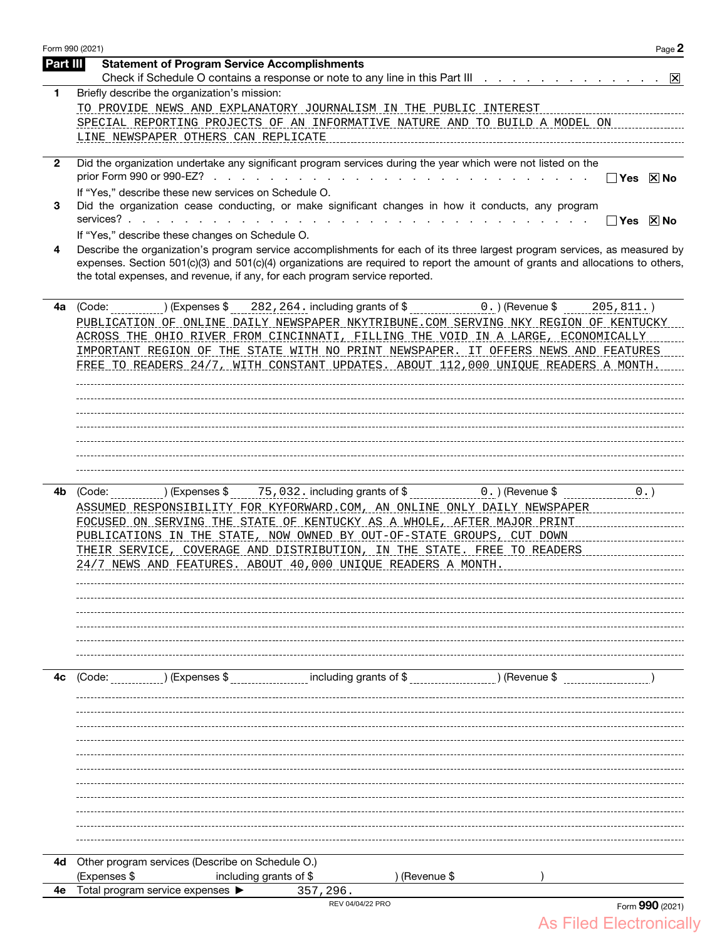| Part III<br>1.<br>$\mathbf{2}$<br>3<br>4<br>(Code:<br>4a<br>4b<br>(Code: | <b>Statement of Program Service Accomplishments</b><br>Check if Schedule O contains a response or note to any line in this Part III<br>Briefly describe the organization's mission:<br>TO PROVIDE NEWS AND EXPLANATORY JOURNALISM IN THE PUBLIC INTEREST<br>SPECIAL REPORTING PROJECTS OF AN INFORMATIVE NATURE AND TO BUILD A MODEL ON<br>LINE NEWSPAPER OTHERS CAN REPLICATE<br>Did the organization undertake any significant program services during the year which were not listed on the<br>If "Yes," describe these new services on Schedule O.<br>Did the organization cease conducting, or make significant changes in how it conducts, any program<br>If "Yes," describe these changes on Schedule O.<br>Describe the organization's program service accomplishments for each of its three largest program services, as measured by<br>expenses. Section 501(c)(3) and 501(c)(4) organizations are required to report the amount of grants and allocations to others,<br>the total expenses, and revenue, if any, for each program service reported.<br>) (Expenses \$<br>PUBLICATION OF ONLINE DAILY NEWSPAPER NKYTRIBUNE COM SERVING NKY REGION OF KENTUCKY<br>ACROSS THE OHIO RIVER FROM CINCINNATI, FILLING THE VOID IN A LARGE, ECONOMICALLY<br>IMPORTANT REGION OF THE STATE MITH NO PRINT NEWSPAPER. IT OFFERS NEWS AND FEATURES<br>FREE TO READERS 24/7, WITH CONSTANT UPDATES, ABOUT 112,000 UNIQUE READERS A MONTH.<br>) (Expenses \$<br>ASSUMED RESPONSIBILITY FOR KYFORWARD.COM, AN ONLINE ONLY DAILY NEWSPAPER |                        |                                | 282, 264. including grants of \$ | $0.$ ) (Revenue \$                                                                           | ∣Yes<br>∣Yes<br>205, 811.                   | $\mathbf{x}$<br>$\boxtimes$ No<br>$\times$ No |
|--------------------------------------------------------------------------|---------------------------------------------------------------------------------------------------------------------------------------------------------------------------------------------------------------------------------------------------------------------------------------------------------------------------------------------------------------------------------------------------------------------------------------------------------------------------------------------------------------------------------------------------------------------------------------------------------------------------------------------------------------------------------------------------------------------------------------------------------------------------------------------------------------------------------------------------------------------------------------------------------------------------------------------------------------------------------------------------------------------------------------------------------------------------------------------------------------------------------------------------------------------------------------------------------------------------------------------------------------------------------------------------------------------------------------------------------------------------------------------------------------------------------------------------------------------------------------------------------------------------------------|------------------------|--------------------------------|----------------------------------|----------------------------------------------------------------------------------------------|---------------------------------------------|-----------------------------------------------|
|                                                                          |                                                                                                                                                                                                                                                                                                                                                                                                                                                                                                                                                                                                                                                                                                                                                                                                                                                                                                                                                                                                                                                                                                                                                                                                                                                                                                                                                                                                                                                                                                                                       |                        |                                |                                  |                                                                                              |                                             |                                               |
|                                                                          |                                                                                                                                                                                                                                                                                                                                                                                                                                                                                                                                                                                                                                                                                                                                                                                                                                                                                                                                                                                                                                                                                                                                                                                                                                                                                                                                                                                                                                                                                                                                       |                        |                                |                                  |                                                                                              |                                             |                                               |
|                                                                          |                                                                                                                                                                                                                                                                                                                                                                                                                                                                                                                                                                                                                                                                                                                                                                                                                                                                                                                                                                                                                                                                                                                                                                                                                                                                                                                                                                                                                                                                                                                                       |                        |                                |                                  |                                                                                              |                                             |                                               |
|                                                                          |                                                                                                                                                                                                                                                                                                                                                                                                                                                                                                                                                                                                                                                                                                                                                                                                                                                                                                                                                                                                                                                                                                                                                                                                                                                                                                                                                                                                                                                                                                                                       |                        |                                |                                  |                                                                                              |                                             |                                               |
|                                                                          |                                                                                                                                                                                                                                                                                                                                                                                                                                                                                                                                                                                                                                                                                                                                                                                                                                                                                                                                                                                                                                                                                                                                                                                                                                                                                                                                                                                                                                                                                                                                       |                        |                                |                                  |                                                                                              |                                             |                                               |
|                                                                          |                                                                                                                                                                                                                                                                                                                                                                                                                                                                                                                                                                                                                                                                                                                                                                                                                                                                                                                                                                                                                                                                                                                                                                                                                                                                                                                                                                                                                                                                                                                                       |                        |                                |                                  |                                                                                              |                                             |                                               |
|                                                                          |                                                                                                                                                                                                                                                                                                                                                                                                                                                                                                                                                                                                                                                                                                                                                                                                                                                                                                                                                                                                                                                                                                                                                                                                                                                                                                                                                                                                                                                                                                                                       |                        |                                |                                  |                                                                                              |                                             |                                               |
|                                                                          |                                                                                                                                                                                                                                                                                                                                                                                                                                                                                                                                                                                                                                                                                                                                                                                                                                                                                                                                                                                                                                                                                                                                                                                                                                                                                                                                                                                                                                                                                                                                       |                        |                                |                                  |                                                                                              |                                             |                                               |
|                                                                          |                                                                                                                                                                                                                                                                                                                                                                                                                                                                                                                                                                                                                                                                                                                                                                                                                                                                                                                                                                                                                                                                                                                                                                                                                                                                                                                                                                                                                                                                                                                                       |                        |                                |                                  |                                                                                              |                                             |                                               |
|                                                                          |                                                                                                                                                                                                                                                                                                                                                                                                                                                                                                                                                                                                                                                                                                                                                                                                                                                                                                                                                                                                                                                                                                                                                                                                                                                                                                                                                                                                                                                                                                                                       |                        |                                |                                  |                                                                                              |                                             |                                               |
|                                                                          |                                                                                                                                                                                                                                                                                                                                                                                                                                                                                                                                                                                                                                                                                                                                                                                                                                                                                                                                                                                                                                                                                                                                                                                                                                                                                                                                                                                                                                                                                                                                       |                        |                                |                                  |                                                                                              |                                             |                                               |
|                                                                          |                                                                                                                                                                                                                                                                                                                                                                                                                                                                                                                                                                                                                                                                                                                                                                                                                                                                                                                                                                                                                                                                                                                                                                                                                                                                                                                                                                                                                                                                                                                                       |                        |                                |                                  |                                                                                              |                                             |                                               |
|                                                                          |                                                                                                                                                                                                                                                                                                                                                                                                                                                                                                                                                                                                                                                                                                                                                                                                                                                                                                                                                                                                                                                                                                                                                                                                                                                                                                                                                                                                                                                                                                                                       |                        |                                |                                  |                                                                                              |                                             |                                               |
|                                                                          | PUBLICATIONS IN THE STATE, NOW OWNED BY OUT-OF-STATE GROUPS, CUT DOWN<br>THEIR SERVICE, COVERAGE AND DISTRIBUTION, IN THE STATE. FREE TO READERS<br>24/7 NEWS AND FEATURES. ABOUT 40,000 UNIQUE READERS A MONTH.                                                                                                                                                                                                                                                                                                                                                                                                                                                                                                                                                                                                                                                                                                                                                                                                                                                                                                                                                                                                                                                                                                                                                                                                                                                                                                                      |                        | 75,032. including grants of \$ |                                  | $0.$ ) (Revenue \$<br>FOCUSED ON SERVING THE STATE OF KENTUCKY AS A WHOLE, AFTER MAJOR PRINT | 0.<br>------------------------------------- |                                               |
|                                                                          |                                                                                                                                                                                                                                                                                                                                                                                                                                                                                                                                                                                                                                                                                                                                                                                                                                                                                                                                                                                                                                                                                                                                                                                                                                                                                                                                                                                                                                                                                                                                       |                        |                                |                                  |                                                                                              |                                             |                                               |
| (Code:<br>4с                                                             | ) (Expenses \$                                                                                                                                                                                                                                                                                                                                                                                                                                                                                                                                                                                                                                                                                                                                                                                                                                                                                                                                                                                                                                                                                                                                                                                                                                                                                                                                                                                                                                                                                                                        |                        | including grants of \$         |                                  | ) (Revenue \$                                                                                |                                             |                                               |
|                                                                          |                                                                                                                                                                                                                                                                                                                                                                                                                                                                                                                                                                                                                                                                                                                                                                                                                                                                                                                                                                                                                                                                                                                                                                                                                                                                                                                                                                                                                                                                                                                                       |                        |                                |                                  |                                                                                              |                                             |                                               |
|                                                                          |                                                                                                                                                                                                                                                                                                                                                                                                                                                                                                                                                                                                                                                                                                                                                                                                                                                                                                                                                                                                                                                                                                                                                                                                                                                                                                                                                                                                                                                                                                                                       |                        |                                |                                  |                                                                                              |                                             |                                               |
|                                                                          |                                                                                                                                                                                                                                                                                                                                                                                                                                                                                                                                                                                                                                                                                                                                                                                                                                                                                                                                                                                                                                                                                                                                                                                                                                                                                                                                                                                                                                                                                                                                       |                        |                                |                                  |                                                                                              |                                             |                                               |
|                                                                          |                                                                                                                                                                                                                                                                                                                                                                                                                                                                                                                                                                                                                                                                                                                                                                                                                                                                                                                                                                                                                                                                                                                                                                                                                                                                                                                                                                                                                                                                                                                                       |                        |                                |                                  |                                                                                              |                                             |                                               |
| 4d<br>(Expenses \$                                                       | Other program services (Describe on Schedule O.)                                                                                                                                                                                                                                                                                                                                                                                                                                                                                                                                                                                                                                                                                                                                                                                                                                                                                                                                                                                                                                                                                                                                                                                                                                                                                                                                                                                                                                                                                      | including grants of \$ |                                | (Revenue \$                      |                                                                                              |                                             |                                               |
| 4е                                                                       | Total program service expenses ▶                                                                                                                                                                                                                                                                                                                                                                                                                                                                                                                                                                                                                                                                                                                                                                                                                                                                                                                                                                                                                                                                                                                                                                                                                                                                                                                                                                                                                                                                                                      |                        | 357,296.                       |                                  |                                                                                              |                                             |                                               |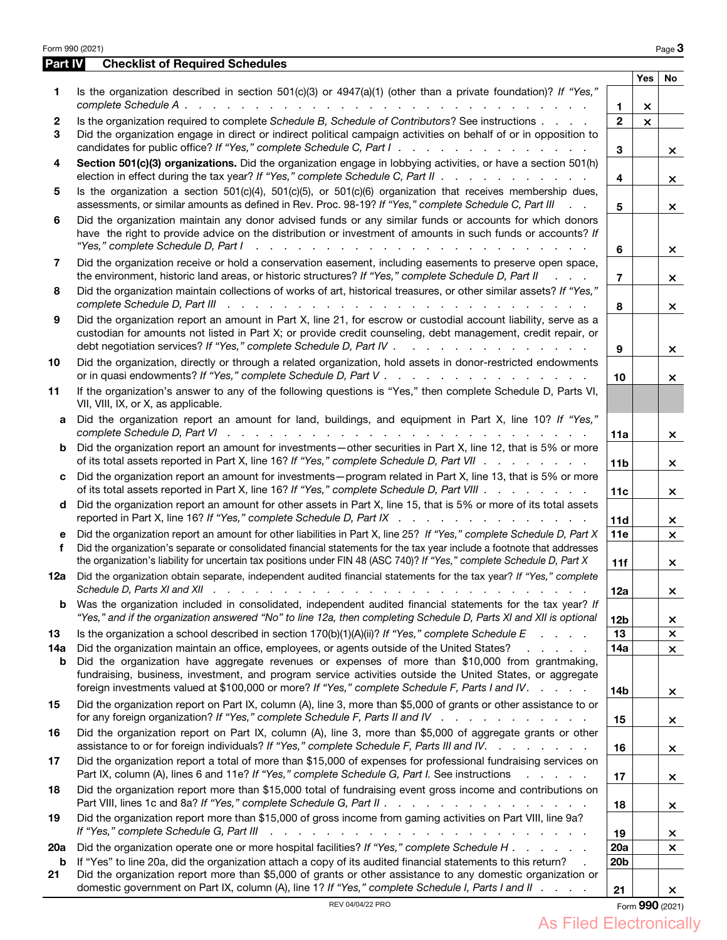|          | Form 990 (2021)                                                                                                                                                                                                                                                                                                                                   |                    |                   | Page 3                    |
|----------|---------------------------------------------------------------------------------------------------------------------------------------------------------------------------------------------------------------------------------------------------------------------------------------------------------------------------------------------------|--------------------|-------------------|---------------------------|
| Part IV  | <b>Checklist of Required Schedules</b>                                                                                                                                                                                                                                                                                                            |                    |                   |                           |
| 1        | Is the organization described in section $501(c)(3)$ or $4947(a)(1)$ (other than a private foundation)? If "Yes,"                                                                                                                                                                                                                                 |                    | Yes               | No.                       |
| 2<br>3   | Is the organization required to complete Schedule B, Schedule of Contributors? See instructions<br>Did the organization engage in direct or indirect political campaign activities on behalf of or in opposition to                                                                                                                               | 1.<br>$\mathbf{2}$ | ×<br>$\mathsf{x}$ |                           |
| 4        | candidates for public office? If "Yes," complete Schedule C, Part I.<br>Section 501(c)(3) organizations. Did the organization engage in lobbying activities, or have a section 501(h)                                                                                                                                                             | 3                  |                   | ×.                        |
|          | election in effect during the tax year? If "Yes," complete Schedule C, Part II                                                                                                                                                                                                                                                                    | 4                  |                   | ×.                        |
| 5        | Is the organization a section $501(c)(4)$ , $501(c)(5)$ , or $501(c)(6)$ organization that receives membership dues,<br>assessments, or similar amounts as defined in Rev. Proc. 98-19? If "Yes," complete Schedule C, Part III<br>$\mathbf{r}$                                                                                                   | 5                  |                   | $\boldsymbol{\mathsf{x}}$ |
| 6        | Did the organization maintain any donor advised funds or any similar funds or accounts for which donors<br>have the right to provide advice on the distribution or investment of amounts in such funds or accounts? If<br>"Yes," complete Schedule D, Part I<br>والمتواط والمتواط والمتواط والمتواط والمتواط والمتواط والمتواط والمتواط والمتواطئ | 6                  |                   | ×.                        |
| 7        | Did the organization receive or hold a conservation easement, including easements to preserve open space,<br>the environment, historic land areas, or historic structures? If "Yes," complete Schedule D, Part II<br>$\mathbf{r}$ $\mathbf{r}$ $\mathbf{r}$                                                                                       | $\overline{7}$     |                   | ×.                        |
| 8        | Did the organization maintain collections of works of art, historical treasures, or other similar assets? If "Yes,"<br>complete Schedule D, Part III                                                                                                                                                                                              | 8                  |                   | ×.                        |
| 9        | Did the organization report an amount in Part X, line 21, for escrow or custodial account liability, serve as a<br>custodian for amounts not listed in Part X; or provide credit counseling, debt management, credit repair, or<br>debt negotiation services? If "Yes," complete Schedule D, Part IV .<br>and the contract of the contract of the | 9                  |                   | ×.                        |
| 10       | Did the organization, directly or through a related organization, hold assets in donor-restricted endowments                                                                                                                                                                                                                                      | 10                 |                   | ×                         |
| 11       | If the organization's answer to any of the following questions is "Yes," then complete Schedule D, Parts VI,<br>VII, VIII, IX, or X, as applicable.                                                                                                                                                                                               |                    |                   |                           |
| а        | Did the organization report an amount for land, buildings, and equipment in Part X, line 10? If "Yes,"                                                                                                                                                                                                                                            | 11a                |                   | ×.                        |
| b        | Did the organization report an amount for investments—other securities in Part X, line 12, that is 5% or more<br>of its total assets reported in Part X, line 16? If "Yes," complete Schedule D, Part VII                                                                                                                                         | 11 <sub>b</sub>    |                   | ×                         |
| c        | Did the organization report an amount for investments - program related in Part X, line 13, that is 5% or more<br>of its total assets reported in Part X, line 16? If "Yes," complete Schedule D, Part VIII                                                                                                                                       | 11c                |                   | ×.                        |
| d        | Did the organization report an amount for other assets in Part X, line 15, that is 5% or more of its total assets<br>reported in Part X, line 16? If "Yes," complete Schedule D, Part IX                                                                                                                                                          | 11d                |                   | ×.                        |
| е<br>f   | Did the organization report an amount for other liabilities in Part X, line 25? If "Yes," complete Schedule D, Part X<br>Did the organization's separate or consolidated financial statements for the tax year include a footnote that addresses                                                                                                  | 11e                |                   | $\boldsymbol{\mathsf{x}}$ |
|          | the organization's liability for uncertain tax positions under FIN 48 (ASC 740)? If "Yes," complete Schedule D, Part X                                                                                                                                                                                                                            | 11f                |                   | ×.                        |
|          | 12a Did the organization obtain separate, independent audited financial statements for the tax year? If "Yes," complete                                                                                                                                                                                                                           | 12a                |                   | ×                         |
| b        | Was the organization included in consolidated, independent audited financial statements for the tax year? If<br>"Yes," and if the organization answered "No" to line 12a, then completing Schedule D, Parts XI and XII is optional                                                                                                                | 12 <sub>b</sub>    |                   | ×.                        |
| 13       | Is the organization a school described in section $170(b)(1)(A)(ii)?$ If "Yes," complete Schedule E<br>and the contract of                                                                                                                                                                                                                        | 13                 |                   | $\times$                  |
| 14a<br>b | Did the organization maintain an office, employees, or agents outside of the United States?<br>and a strong of the state of the<br>Did the organization have aggregate revenues or expenses of more than \$10,000 from grantmaking,                                                                                                               | 14a                |                   | $\times$                  |
|          | fundraising, business, investment, and program service activities outside the United States, or aggregate<br>foreign investments valued at \$100,000 or more? If "Yes," complete Schedule F, Parts I and IV.                                                                                                                                      | 14b                |                   | ×.                        |
| 15       | Did the organization report on Part IX, column (A), line 3, more than \$5,000 of grants or other assistance to or<br>for any foreign organization? If "Yes," complete Schedule F, Parts II and IV                                                                                                                                                 | 15                 |                   | ×.                        |
| 16       | Did the organization report on Part IX, column (A), line 3, more than \$5,000 of aggregate grants or other<br>assistance to or for foreign individuals? If "Yes," complete Schedule F, Parts III and IV.                                                                                                                                          | 16                 |                   | ×.                        |
| 17       | Did the organization report a total of more than \$15,000 of expenses for professional fundraising services on<br>Part IX, column (A), lines 6 and 11e? If "Yes," complete Schedule G, Part I. See instructions<br>and a state of                                                                                                                 | 17                 |                   | ×.                        |
| 18       | Did the organization report more than \$15,000 total of fundraising event gross income and contributions on<br>Part VIII, lines 1c and 8a? If "Yes," complete Schedule G, Part II                                                                                                                                                                 | 18                 |                   | ×.                        |
| 19       | Did the organization report more than \$15,000 of gross income from gaming activities on Part VIII, line 9a?<br>If "Yes," complete Schedule G, Part III                                                                                                                                                                                           | 19                 |                   | ×.                        |
| 20a      | Did the organization operate one or more hospital facilities? If "Yes," complete Schedule H                                                                                                                                                                                                                                                       | 20a                |                   | $\times$                  |
| b        | If "Yes" to line 20a, did the organization attach a copy of its audited financial statements to this return?                                                                                                                                                                                                                                      | 20 <sub>b</sub>    |                   |                           |
| 21       | Did the organization report more than \$5,000 of grants or other assistance to any domestic organization or<br>domestic government on Part IX, column (A), line 1? If "Yes," complete Schedule I, Parts I and II                                                                                                                                  | 21                 |                   | ×.                        |
|          | REV 04/04/22 PRO                                                                                                                                                                                                                                                                                                                                  |                    |                   | Form 990 (2021)           |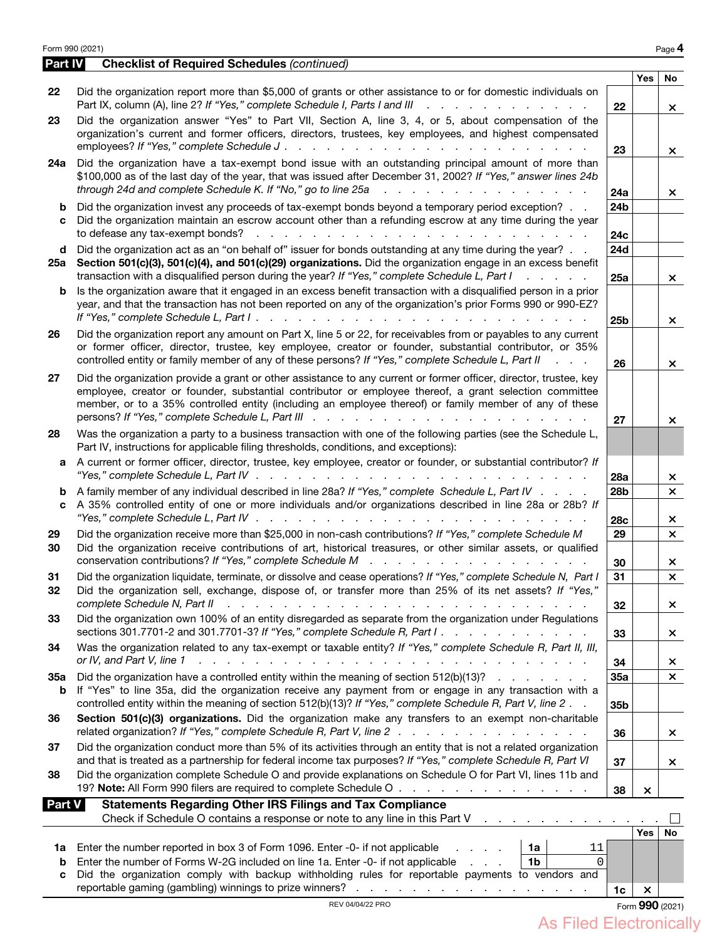|               | Form 990 (2021)                                                                                                                                                                                                                                                                                                                                                                                                       |                 |                | Page 4          |  |  |  |
|---------------|-----------------------------------------------------------------------------------------------------------------------------------------------------------------------------------------------------------------------------------------------------------------------------------------------------------------------------------------------------------------------------------------------------------------------|-----------------|----------------|-----------------|--|--|--|
| Part IV       | <b>Checklist of Required Schedules (continued)</b>                                                                                                                                                                                                                                                                                                                                                                    |                 |                |                 |  |  |  |
| 22            | Did the organization report more than \$5,000 of grants or other assistance to or for domestic individuals on                                                                                                                                                                                                                                                                                                         |                 | <b>Yes</b>     | No              |  |  |  |
| 23            | Part IX, column (A), line 2? If "Yes," complete Schedule I, Parts I and III<br>and the contract of the contract of the contract of the contract of the contract of the contract of the contract of the contract of the contract of the contract of the contract of the contract of the contract of the contra<br>Did the organization answer "Yes" to Part VII, Section A, line 3, 4, or 5, about compensation of the | 22              |                | $\times$        |  |  |  |
|               | organization's current and former officers, directors, trustees, key employees, and highest compensated<br>employees? If "Yes," complete Schedule J.<br>and the contract of the contract of the contract of the contract of the contract of the contract of the contract of the contract of the contract of the contract of the contract of the contract of the contract of the contra<br>23                          |                 |                |                 |  |  |  |
| 24a           | Did the organization have a tax-exempt bond issue with an outstanding principal amount of more than<br>\$100,000 as of the last day of the year, that was issued after December 31, 2002? If "Yes," answer lines 24b<br>through 24d and complete Schedule K. If "No," go to line 25a<br>.                                                                                                                             | 24a             |                | ×.              |  |  |  |
| b             | Did the organization invest any proceeds of tax-exempt bonds beyond a temporary period exception?                                                                                                                                                                                                                                                                                                                     | 24b             |                |                 |  |  |  |
| c             | Did the organization maintain an escrow account other than a refunding escrow at any time during the year<br>to defease any tax-exempt bonds?<br>a construction of the construction of the construction of the construction of the construction of the construction of the construction of the construction of the construction of the construction of the construction of the                                        | 24 <sub>c</sub> |                |                 |  |  |  |
| d             | Did the organization act as an "on behalf of" issuer for bonds outstanding at any time during the year?                                                                                                                                                                                                                                                                                                               | 24d             |                |                 |  |  |  |
|               | 25a Section 501(c)(3), 501(c)(4), and 501(c)(29) organizations. Did the organization engage in an excess benefit<br>transaction with a disqualified person during the year? If "Yes," complete Schedule L, Part I<br>$1 - 1 - 1 = 1 - 1$                                                                                                                                                                              | 25a             |                | ×.              |  |  |  |
| b             | Is the organization aware that it engaged in an excess benefit transaction with a disqualified person in a prior<br>year, and that the transaction has not been reported on any of the organization's prior Forms 990 or 990-EZ?                                                                                                                                                                                      | 25 <sub>b</sub> |                | ×.              |  |  |  |
| 26            | Did the organization report any amount on Part X, line 5 or 22, for receivables from or payables to any current                                                                                                                                                                                                                                                                                                       |                 |                |                 |  |  |  |
|               | or former officer, director, trustee, key employee, creator or founder, substantial contributor, or 35%<br>controlled entity or family member of any of these persons? If "Yes," complete Schedule L, Part II<br><b>Carl Corp.</b>                                                                                                                                                                                    | 26              |                | ×.              |  |  |  |
| 27            | Did the organization provide a grant or other assistance to any current or former officer, director, trustee, key                                                                                                                                                                                                                                                                                                     |                 |                |                 |  |  |  |
|               | employee, creator or founder, substantial contributor or employee thereof, a grant selection committee<br>member, or to a 35% controlled entity (including an employee thereof) or family member of any of these                                                                                                                                                                                                      | 27              |                | ×.              |  |  |  |
| 28            | Was the organization a party to a business transaction with one of the following parties (see the Schedule L,<br>Part IV, instructions for applicable filing thresholds, conditions, and exceptions):                                                                                                                                                                                                                 |                 |                |                 |  |  |  |
| а             | A current or former officer, director, trustee, key employee, creator or founder, or substantial contributor? If                                                                                                                                                                                                                                                                                                      | <b>28a</b>      |                | ×.              |  |  |  |
| b             | A family member of any individual described in line 28a? If "Yes," complete Schedule L, Part IV                                                                                                                                                                                                                                                                                                                       | 28 <sub>b</sub> |                | $\times$        |  |  |  |
| c             | A 35% controlled entity of one or more individuals and/or organizations described in line 28a or 28b? If                                                                                                                                                                                                                                                                                                              | 28c             |                | ×               |  |  |  |
| 29            | Did the organization receive more than \$25,000 in non-cash contributions? If "Yes," complete Schedule M                                                                                                                                                                                                                                                                                                              | 29              |                | $\times$        |  |  |  |
| 30            | Did the organization receive contributions of art, historical treasures, or other similar assets, or qualified                                                                                                                                                                                                                                                                                                        | 30              |                | ×               |  |  |  |
| 31            | Did the organization liquidate, terminate, or dissolve and cease operations? If "Yes," complete Schedule N, Part I                                                                                                                                                                                                                                                                                                    | 31              |                | $\times$        |  |  |  |
| 32            | Did the organization sell, exchange, dispose of, or transfer more than 25% of its net assets? If "Yes,"<br>complete Schedule N, Part II<br>an da                                                                                                                                                                                                                                                                      | 32              |                | ×.              |  |  |  |
| 33            | Did the organization own 100% of an entity disregarded as separate from the organization under Regulations<br>sections 301.7701-2 and 301.7701-3? If "Yes," complete Schedule R, Part I.                                                                                                                                                                                                                              | 33              |                | ×               |  |  |  |
| 34            | Was the organization related to any tax-exempt or taxable entity? If "Yes," complete Schedule R, Part II, III,<br>or IV, and Part V, line 1<br>المتحدث والمتحدث والمتحدث والمتحدث والمتحدث والمتحدث والمتحدث والمتحدث<br>$\sim$                                                                                                                                                                                       | 34              |                | ×               |  |  |  |
| <b>35a</b>    | Did the organization have a controlled entity within the meaning of section 512(b)(13)?                                                                                                                                                                                                                                                                                                                               | 35a             |                | $\times$        |  |  |  |
| b             | If "Yes" to line 35a, did the organization receive any payment from or engage in any transaction with a<br>controlled entity within the meaning of section 512(b)(13)? If "Yes," complete Schedule R, Part V, line 2. .                                                                                                                                                                                               | 35b             |                |                 |  |  |  |
| 36            | Section 501(c)(3) organizations. Did the organization make any transfers to an exempt non-charitable<br>related organization? If "Yes," complete Schedule R, Part V, line 2                                                                                                                                                                                                                                           | 36              |                | ×.              |  |  |  |
| 37            | Did the organization conduct more than 5% of its activities through an entity that is not a related organization<br>and that is treated as a partnership for federal income tax purposes? If "Yes," complete Schedule R, Part VI                                                                                                                                                                                      | 37              |                | ×.              |  |  |  |
| 38            | Did the organization complete Schedule O and provide explanations on Schedule O for Part VI, lines 11b and<br>19? Note: All Form 990 filers are required to complete Schedule O                                                                                                                                                                                                                                       | 38              | $\pmb{\times}$ |                 |  |  |  |
| <b>Part V</b> | <b>Statements Regarding Other IRS Filings and Tax Compliance</b>                                                                                                                                                                                                                                                                                                                                                      |                 |                |                 |  |  |  |
|               | Check if Schedule O contains a response or note to any line in this Part V<br>$\mathbf{r} = \mathbf{r} + \mathbf{r}$                                                                                                                                                                                                                                                                                                  |                 |                |                 |  |  |  |
|               |                                                                                                                                                                                                                                                                                                                                                                                                                       |                 | <b>Yes</b>     | No              |  |  |  |
| 1a            | 1a<br>Enter the number reported in box 3 of Form 1096. Enter -0- if not applicable<br>11<br>1 <sub>b</sub>                                                                                                                                                                                                                                                                                                            |                 |                |                 |  |  |  |
| b<br>c        | Enter the number of Forms W-2G included on line 1a. Enter -0- if not applicable<br>$\Omega$<br>Did the organization comply with backup withholding rules for reportable payments to vendors and                                                                                                                                                                                                                       |                 |                |                 |  |  |  |
|               |                                                                                                                                                                                                                                                                                                                                                                                                                       | 1c              | ×              |                 |  |  |  |
|               | REV 04/04/22 PRO                                                                                                                                                                                                                                                                                                                                                                                                      |                 |                | Form 990 (2021) |  |  |  |
|               |                                                                                                                                                                                                                                                                                                                                                                                                                       |                 |                |                 |  |  |  |

As Filed Electronically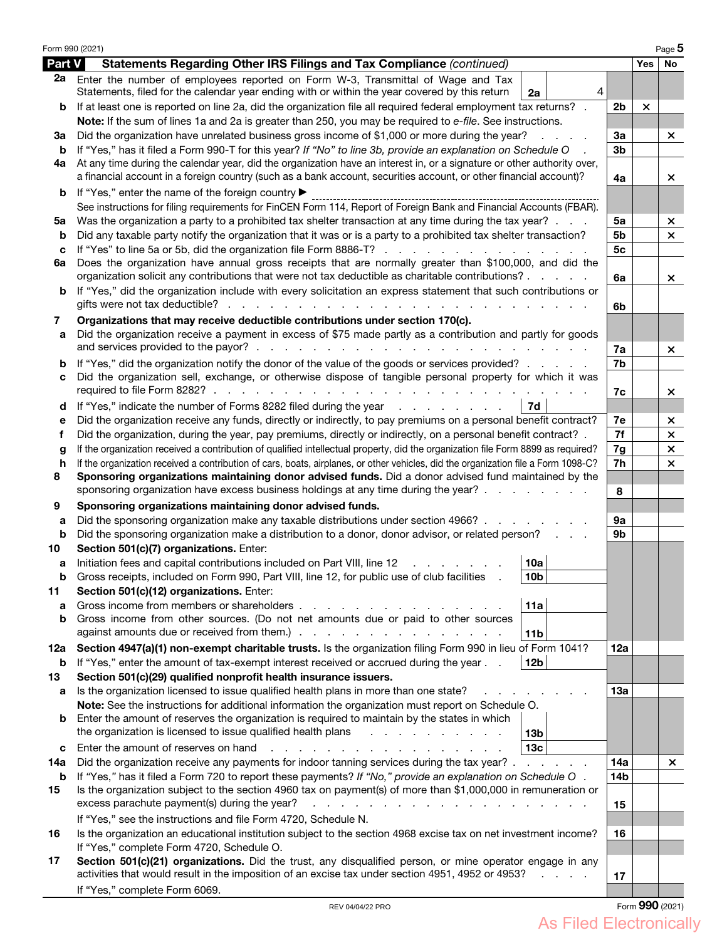|        | Form 990 (2021)                                                                                                                                                                                            |                |                | Page 5    |
|--------|------------------------------------------------------------------------------------------------------------------------------------------------------------------------------------------------------------|----------------|----------------|-----------|
| Part V | <b>Statements Regarding Other IRS Filings and Tax Compliance (continued)</b>                                                                                                                               |                | Yes            | <b>No</b> |
| 2a     | Enter the number of employees reported on Form W-3, Transmittal of Wage and Tax<br>Statements, filed for the calendar year ending with or within the year covered by this return<br>4<br>2a                |                |                |           |
| b      | If at least one is reported on line 2a, did the organization file all required federal employment tax returns? .                                                                                           | 2b             | $\pmb{\times}$ |           |
|        | Note: If the sum of lines 1a and 2a is greater than 250, you may be required to e-file. See instructions.                                                                                                  |                |                |           |
| За     | Did the organization have unrelated business gross income of \$1,000 or more during the year?                                                                                                              | За             |                | ×         |
| b      | If "Yes," has it filed a Form 990-T for this year? If "No" to line 3b, provide an explanation on Schedule O                                                                                                | 3b             |                |           |
| 4а     | At any time during the calendar year, did the organization have an interest in, or a signature or other authority over,                                                                                    |                |                |           |
|        | a financial account in a foreign country (such as a bank account, securities account, or other financial account)?                                                                                         | 4a             |                | ×         |
| b      | If "Yes," enter the name of the foreign country ▶                                                                                                                                                          |                |                |           |
|        | See instructions for filing requirements for FinCEN Form 114, Report of Foreign Bank and Financial Accounts (FBAR).                                                                                        |                |                |           |
| 5a     | Was the organization a party to a prohibited tax shelter transaction at any time during the tax year?                                                                                                      | 5a             |                | ×         |
| b      | Did any taxable party notify the organization that it was or is a party to a prohibited tax shelter transaction?                                                                                           | 5b             |                | $\times$  |
| c      |                                                                                                                                                                                                            | 5c             |                |           |
| 6a     | Does the organization have annual gross receipts that are normally greater than \$100,000, and did the<br>organization solicit any contributions that were not tax deductible as charitable contributions? | 6a             |                | ×         |
| b      | If "Yes," did the organization include with every solicitation an express statement that such contributions or                                                                                             | 6 <sub>b</sub> |                |           |
| 7      | Organizations that may receive deductible contributions under section 170(c).                                                                                                                              |                |                |           |
| a      | Did the organization receive a payment in excess of \$75 made partly as a contribution and partly for goods                                                                                                |                |                |           |
|        |                                                                                                                                                                                                            | 7a             |                | ×         |
| b      | If "Yes," did the organization notify the donor of the value of the goods or services provided?                                                                                                            | 7b             |                |           |
| c      | Did the organization sell, exchange, or otherwise dispose of tangible personal property for which it was                                                                                                   |                |                |           |
|        |                                                                                                                                                                                                            | 7c             |                | ×.        |
| d      | 7d<br>If "Yes," indicate the number of Forms 8282 filed during the year                                                                                                                                    |                |                |           |
| е      | Did the organization receive any funds, directly or indirectly, to pay premiums on a personal benefit contract?                                                                                            | 7е             |                | ×         |
| f      | Did the organization, during the year, pay premiums, directly or indirectly, on a personal benefit contract? .                                                                                             | 7f             |                | ×         |
| g      | If the organization received a contribution of qualified intellectual property, did the organization file Form 8899 as required?                                                                           | 7g             |                | ×         |
| h      | If the organization received a contribution of cars, boats, airplanes, or other vehicles, did the organization file a Form 1098-C?                                                                         | 7h             |                | $\times$  |
| 8      | Sponsoring organizations maintaining donor advised funds. Did a donor advised fund maintained by the<br>sponsoring organization have excess business holdings at any time during the year?                 | 8              |                |           |
| 9      | Sponsoring organizations maintaining donor advised funds.                                                                                                                                                  |                |                |           |
| а      | Did the sponsoring organization make any taxable distributions under section 4966?                                                                                                                         | 9a             |                |           |
| b      | Did the sponsoring organization make a distribution to a donor, donor advisor, or related person?                                                                                                          | 9b             |                |           |
| 10     | Section 501(c)(7) organizations. Enter:                                                                                                                                                                    |                |                |           |
| а      | Initiation fees and capital contributions included on Part VIII, line 12<br>10a                                                                                                                            |                |                |           |
|        | 10 <sub>b</sub><br>Gross receipts, included on Form 990, Part VIII, line 12, for public use of club facilities                                                                                             |                |                |           |
| 11     | Section 501(c)(12) organizations. Enter:                                                                                                                                                                   |                |                |           |
| a      | Gross income from members or shareholders.<br>11a<br>and a state of the state of the state of                                                                                                              |                |                |           |
| b      | Gross income from other sources. (Do not net amounts due or paid to other sources                                                                                                                          |                |                |           |
|        | 11 <sub>b</sub>                                                                                                                                                                                            |                |                |           |
| 12a    | Section 4947(a)(1) non-exempt charitable trusts. Is the organization filing Form 990 in lieu of Form 1041?                                                                                                 | 12a            |                |           |
| b      | 12 <sub>b</sub><br>If "Yes," enter the amount of tax-exempt interest received or accrued during the year                                                                                                   |                |                |           |
| 13     | Section 501(c)(29) qualified nonprofit health insurance issuers.                                                                                                                                           |                |                |           |
| а      | Is the organization licensed to issue qualified health plans in more than one state?<br>Note: See the instructions for additional information the organization must report on Schedule O.                  | 13a            |                |           |
| b      | Enter the amount of reserves the organization is required to maintain by the states in which                                                                                                               |                |                |           |
|        | the organization is licensed to issue qualified health plans<br>the contract of the contract of the<br>13 <sub>b</sub>                                                                                     |                |                |           |
| С      | 13 <sub>c</sub><br>Enter the amount of reserves on hand<br>and a state of the state of the                                                                                                                 |                |                |           |
| 14a    | Did the organization receive any payments for indoor tanning services during the tax year?                                                                                                                 | 14a            |                | ×         |
| b      | If "Yes," has it filed a Form 720 to report these payments? If "No," provide an explanation on Schedule O.                                                                                                 | 14b            |                |           |
| 15     | Is the organization subject to the section 4960 tax on payment(s) of more than \$1,000,000 in remuneration or                                                                                              |                |                |           |
|        | excess parachute payment(s) during the year?<br>design and a state of the control of                                                                                                                       | 15             |                |           |
|        | If "Yes," see the instructions and file Form 4720, Schedule N.                                                                                                                                             |                |                |           |
| 16     | Is the organization an educational institution subject to the section 4968 excise tax on net investment income?                                                                                            | 16             |                |           |
|        | If "Yes," complete Form 4720, Schedule O.                                                                                                                                                                  |                |                |           |
| 17     | Section 501(c)(21) organizations. Did the trust, any disqualified person, or mine operator engage in any                                                                                                   |                |                |           |
|        | activities that would result in the imposition of an excise tax under section 4951, 4952 or 4953?                                                                                                          | 17             |                |           |
|        | If "Yes," complete Form 6069.                                                                                                                                                                              |                |                |           |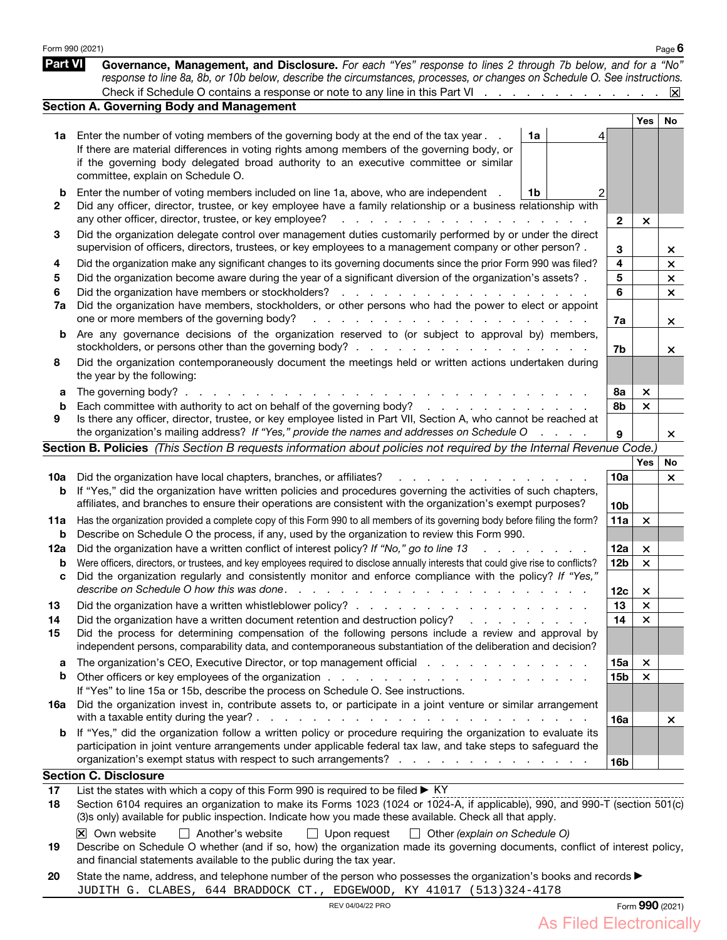|                | Form 990 (2021)                                                                                                                                                                                                                                                                                                                                                                                                            |                 |                           | Page $6$ |
|----------------|----------------------------------------------------------------------------------------------------------------------------------------------------------------------------------------------------------------------------------------------------------------------------------------------------------------------------------------------------------------------------------------------------------------------------|-----------------|---------------------------|----------|
| <b>Part VI</b> | Governance, Management, and Disclosure. For each "Yes" response to lines 2 through 7b below, and for a "No"<br>response to line 8a, 8b, or 10b below, describe the circumstances, processes, or changes on Schedule O. See instructions.                                                                                                                                                                                   |                 |                           |          |
|                | Check if Schedule O contains a response or note to any line in this Part VI X                                                                                                                                                                                                                                                                                                                                              |                 |                           |          |
|                | <b>Section A. Governing Body and Management</b>                                                                                                                                                                                                                                                                                                                                                                            |                 |                           |          |
|                |                                                                                                                                                                                                                                                                                                                                                                                                                            |                 | Yes                       | No       |
| 1a             | Enter the number of voting members of the governing body at the end of the tax year.<br>1a<br>4<br>If there are material differences in voting rights among members of the governing body, or<br>if the governing body delegated broad authority to an executive committee or similar<br>committee, explain on Schedule O.                                                                                                 |                 |                           |          |
| b<br>2         | Enter the number of voting members included on line 1a, above, who are independent<br>1b<br>Did any officer, director, trustee, or key employee have a family relationship or a business relationship with<br>any other officer, director, trustee, or key employee?<br>and the contract of the contract of the contract of                                                                                                | $\mathbf{2}$    | $\times$                  |          |
| 3              | Did the organization delegate control over management duties customarily performed by or under the direct<br>supervision of officers, directors, trustees, or key employees to a management company or other person?.                                                                                                                                                                                                      | 3               |                           | ×.       |
| 4              | Did the organization make any significant changes to its governing documents since the prior Form 990 was filed?                                                                                                                                                                                                                                                                                                           | 4               |                           | $\times$ |
| 5              | Did the organization become aware during the year of a significant diversion of the organization's assets? .                                                                                                                                                                                                                                                                                                               | 5               |                           | $\times$ |
| 6              |                                                                                                                                                                                                                                                                                                                                                                                                                            | 6               |                           | $\times$ |
| 7a             | Did the organization have members, stockholders, or other persons who had the power to elect or appoint<br>one or more members of the governing body?<br>والمتعاون والمتعاون والمتعاون والمتعاون والمتعاون والمتعاون والمتعاون                                                                                                                                                                                             |                 |                           |          |
| b              | Are any governance decisions of the organization reserved to (or subject to approval by) members,                                                                                                                                                                                                                                                                                                                          | 7a              |                           | ×        |
| 8              | Did the organization contemporaneously document the meetings held or written actions undertaken during<br>the year by the following:                                                                                                                                                                                                                                                                                       | 7b              |                           | ×        |
| а              | The governing body?                                                                                                                                                                                                                                                                                                                                                                                                        | 8a              | ×                         |          |
| b              |                                                                                                                                                                                                                                                                                                                                                                                                                            | 8b              | $\boldsymbol{\mathsf{x}}$ |          |
| 9              | Is there any officer, director, trustee, or key employee listed in Part VII, Section A, who cannot be reached at<br>the organization's mailing address? If "Yes," provide the names and addresses on Schedule O                                                                                                                                                                                                            | 9               |                           | ×        |
|                | Section B. Policies (This Section B requests information about policies not required by the Internal Revenue Code.)                                                                                                                                                                                                                                                                                                        |                 |                           |          |
|                |                                                                                                                                                                                                                                                                                                                                                                                                                            |                 | Yes                       | No.      |
| 10a            | Did the organization have local chapters, branches, or affiliates?<br>and a strain and a strain                                                                                                                                                                                                                                                                                                                            | 10a             |                           | $\times$ |
| b              | If "Yes," did the organization have written policies and procedures governing the activities of such chapters,<br>affiliates, and branches to ensure their operations are consistent with the organization's exempt purposes?                                                                                                                                                                                              | 10 <sub>b</sub> |                           |          |
| 11a            | Has the organization provided a complete copy of this Form 990 to all members of its governing body before filing the form?                                                                                                                                                                                                                                                                                                | 11a             | $\times$                  |          |
| b              | Describe on Schedule O the process, if any, used by the organization to review this Form 990.                                                                                                                                                                                                                                                                                                                              |                 |                           |          |
| 12a            | Did the organization have a written conflict of interest policy? If "No," go to line 13<br>an an an a                                                                                                                                                                                                                                                                                                                      | 12a             | ×                         |          |
| b              | Were officers, directors, or trustees, and key employees required to disclose annually interests that could give rise to conflicts?                                                                                                                                                                                                                                                                                        | 12 <sub>b</sub> | $\times$                  |          |
|                | Did the organization regularly and consistently monitor and enforce compliance with the policy? If "Yes,"<br>describe on Schedule O how this was done.<br>$\mathcal{L}$ . The state of the state of the state of the state of the state of the state of the state of the state of the state of the state of the state of the state of the state of the state of the state of the state of th<br>$\sim$<br>$\sim$<br>$\sim$ |                 |                           |          |
|                |                                                                                                                                                                                                                                                                                                                                                                                                                            | 12c<br>13       | ×<br>$\pmb{\times}$       |          |
| 13<br>14       | Did the organization have a written document retention and destruction policy?<br>the contract of the contract of the                                                                                                                                                                                                                                                                                                      | 14              | $\boldsymbol{\mathsf{x}}$ |          |
| 15             | Did the process for determining compensation of the following persons include a review and approval by                                                                                                                                                                                                                                                                                                                     |                 |                           |          |
|                | independent persons, comparability data, and contemporaneous substantiation of the deliberation and decision?                                                                                                                                                                                                                                                                                                              |                 |                           |          |
| а              | The organization's CEO, Executive Director, or top management official enterstance of the organization's CEO, Executive Director, or top management official                                                                                                                                                                                                                                                               | 15a             | ×                         |          |
| b              |                                                                                                                                                                                                                                                                                                                                                                                                                            | 15 <sub>b</sub> | $\boldsymbol{\mathsf{x}}$ |          |
|                | If "Yes" to line 15a or 15b, describe the process on Schedule O. See instructions.                                                                                                                                                                                                                                                                                                                                         |                 |                           |          |
| 16а            | Did the organization invest in, contribute assets to, or participate in a joint venture or similar arrangement<br><b>Contract Contract</b>                                                                                                                                                                                                                                                                                 | 16a             |                           | ×        |
| b              | If "Yes," did the organization follow a written policy or procedure requiring the organization to evaluate its                                                                                                                                                                                                                                                                                                             |                 |                           |          |
|                | participation in joint venture arrangements under applicable federal tax law, and take steps to safeguard the<br>organization's exempt status with respect to such arrangements?                                                                                                                                                                                                                                           |                 |                           |          |
|                |                                                                                                                                                                                                                                                                                                                                                                                                                            | 16b             |                           |          |
|                | <b>Section C. Disclosure</b>                                                                                                                                                                                                                                                                                                                                                                                               |                 |                           |          |
| 17<br>18       | List the states with which a copy of this Form 990 is required to be filed $\blacktriangleright$ KY<br>Section 6104 requires an organization to make its Forms 1023 (1024 or 1024-A, if applicable), 990, and 990-T (section 501(c)                                                                                                                                                                                        |                 |                           |          |
|                | (3) sonly) available for public inspection. Indicate how you made these available. Check all that apply.                                                                                                                                                                                                                                                                                                                   |                 |                           |          |
|                | $\Box$ Another's website<br>$\Box$ Upon request<br>Other (explain on Schedule O)<br>$ X $ Own website<br>$\perp$                                                                                                                                                                                                                                                                                                           |                 |                           |          |

- **19** Describe on Schedule O whether (and if so, how) the organization made its governing documents, conflict of interest policy, and financial statements available to the public during the tax year.
- 20 State the name, address, and telephone number of the person who possesses the organization's books and records JUDITH G. CLABES, 644 BRADDOCK CT., EDGEWOOD, KY 41017 (513)324-4178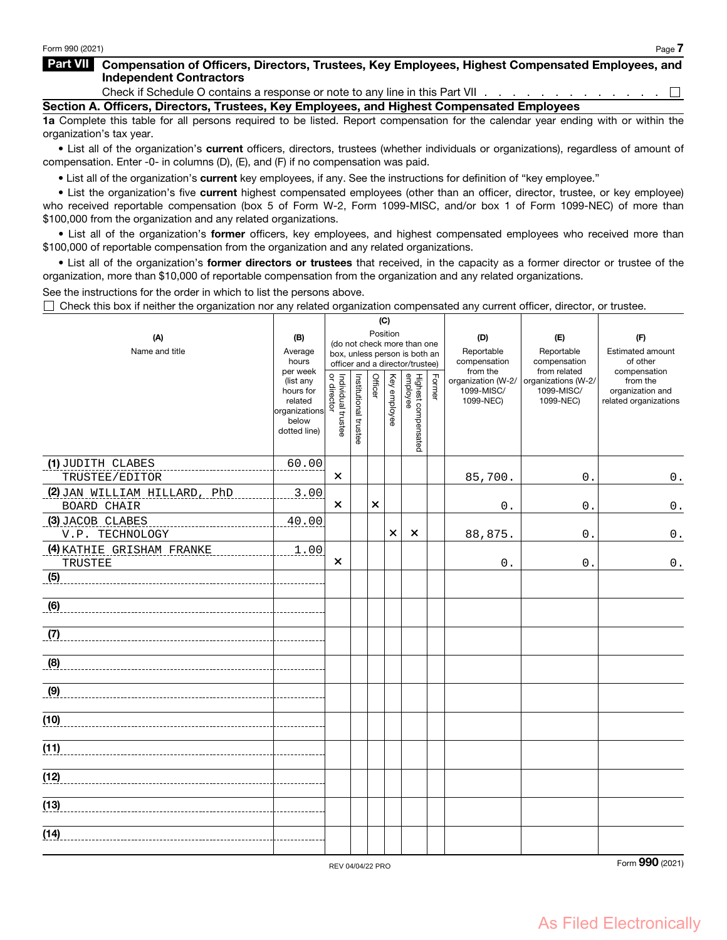## **Part VII Compensation of Officers, Directors, Trustees, Key Employees, Highest Compensated Employees, and Independent Contractors**

Check if Schedule O contains a response or note to any line in this Part VII . . .  $\Box$ 

**Section A. Officers, Directors, Trustees, Key Employees, and Highest Compensated Employees**

**1a** Complete this table for all persons required to be listed. Report compensation for the calendar year ending with or within the organization's tax year.

• List all of the organization's **current** officers, directors, trustees (whether individuals or organizations), regardless of amount of compensation. Enter -0- in columns (D), (E), and (F) if no compensation was paid.

• List all of the organization's **current** key employees, if any. See the instructions for definition of "key employee."

• List the organization's five **current** highest compensated employees (other than an officer, director, trustee, or key employee) who received reportable compensation (box 5 of Form W-2, Form 1099-MISC, and/or box 1 of Form 1099-NEC) of more than \$100,000 from the organization and any related organizations.

• List all of the organization's **former** officers, key employees, and highest compensated employees who received more than \$100,000 of reportable compensation from the organization and any related organizations.

• List all of the organization's **former directors or trustees** that received, in the capacity as a former director or trustee of the organization, more than \$10,000 of reportable compensation from the organization and any related organizations.

See the instructions for the order in which to list the persons above.

 $\Box$  Check this box if neither the organization nor any related organization compensated any current officer, director, or trustee.

|                                      |                        |                                                              |                       | (C)      |              |                                 |        |                                  |                                   |                              |
|--------------------------------------|------------------------|--------------------------------------------------------------|-----------------------|----------|--------------|---------------------------------|--------|----------------------------------|-----------------------------------|------------------------------|
| (A)                                  | (B)                    |                                                              |                       | Position |              |                                 |        | (D)                              | (E)                               | (F)                          |
| Name and title                       | Average<br>hours       | (do not check more than one<br>box, unless person is both an |                       |          |              |                                 |        | Reportable<br>compensation       | Reportable<br>compensation        | Estimated amount<br>of other |
|                                      | per week               |                                                              |                       |          |              | officer and a director/trustee) |        | from the                         | from related                      | compensation                 |
|                                      | (list any<br>hours for |                                                              |                       | Officer  |              |                                 | Former | organization (W-2/<br>1099-MISC/ | organizations (W-2/<br>1099-MISC/ | from the<br>organization and |
|                                      | related                |                                                              |                       |          |              |                                 |        | 1099-NEC)                        | 1099-NEC)                         | related organizations        |
|                                      | organizations<br>below |                                                              |                       |          | Key employee |                                 |        |                                  |                                   |                              |
|                                      | dotted line)           | Individual trustee<br>or director                            | Institutional trustee |          |              | Highest compensated<br>employee |        |                                  |                                   |                              |
|                                      |                        |                                                              |                       |          |              |                                 |        |                                  |                                   |                              |
| (1) JUDITH CLABES                    | 60.00                  |                                                              |                       |          |              |                                 |        |                                  |                                   |                              |
| TRUSTEE/EDITOR                       |                        | ×                                                            |                       |          |              |                                 |        | 85,700.                          | 0.                                | $0$ .                        |
| (2) JAN WILLIAM HILLARD, PhD         | 3.00                   |                                                              |                       |          |              |                                 |        |                                  |                                   |                              |
| BOARD CHAIR                          |                        | $\boldsymbol{\mathsf{x}}$                                    |                       | $\times$ |              |                                 |        | $\mathbf 0$ .                    | $0$ .                             | $\mathbf 0$ .                |
| (3) JACOB CLABES                     | 40.00                  |                                                              |                       |          | $\times$     | $\times$                        |        |                                  |                                   |                              |
| V.P. TECHNOLOGY                      |                        |                                                              |                       |          |              |                                 |        | 88,875.                          | $0$ .                             | $0$ .                        |
| (4) KATHIE GRISHAM FRANKE<br>TRUSTEE | 1.00                   | $\times$                                                     |                       |          |              |                                 |        | $\boldsymbol{0}$ .               | $0$ .                             | $0$ .                        |
| (5)                                  |                        |                                                              |                       |          |              |                                 |        |                                  |                                   |                              |
|                                      |                        |                                                              |                       |          |              |                                 |        |                                  |                                   |                              |
| (6)                                  |                        |                                                              |                       |          |              |                                 |        |                                  |                                   |                              |
|                                      |                        |                                                              |                       |          |              |                                 |        |                                  |                                   |                              |
| (7)                                  |                        |                                                              |                       |          |              |                                 |        |                                  |                                   |                              |
|                                      |                        |                                                              |                       |          |              |                                 |        |                                  |                                   |                              |
| (8)                                  |                        |                                                              |                       |          |              |                                 |        |                                  |                                   |                              |
| (9)                                  |                        |                                                              |                       |          |              |                                 |        |                                  |                                   |                              |
|                                      |                        |                                                              |                       |          |              |                                 |        |                                  |                                   |                              |
| (10)                                 |                        |                                                              |                       |          |              |                                 |        |                                  |                                   |                              |
|                                      |                        |                                                              |                       |          |              |                                 |        |                                  |                                   |                              |
| (11)                                 |                        |                                                              |                       |          |              |                                 |        |                                  |                                   |                              |
|                                      |                        |                                                              |                       |          |              |                                 |        |                                  |                                   |                              |
| (12)                                 |                        |                                                              |                       |          |              |                                 |        |                                  |                                   |                              |
|                                      |                        |                                                              |                       |          |              |                                 |        |                                  |                                   |                              |
| (13)                                 |                        |                                                              |                       |          |              |                                 |        |                                  |                                   |                              |
| (14)                                 |                        |                                                              |                       |          |              |                                 |        |                                  |                                   |                              |
|                                      |                        |                                                              |                       |          |              |                                 |        |                                  |                                   |                              |
|                                      |                        |                                                              |                       |          |              |                                 |        |                                  |                                   |                              |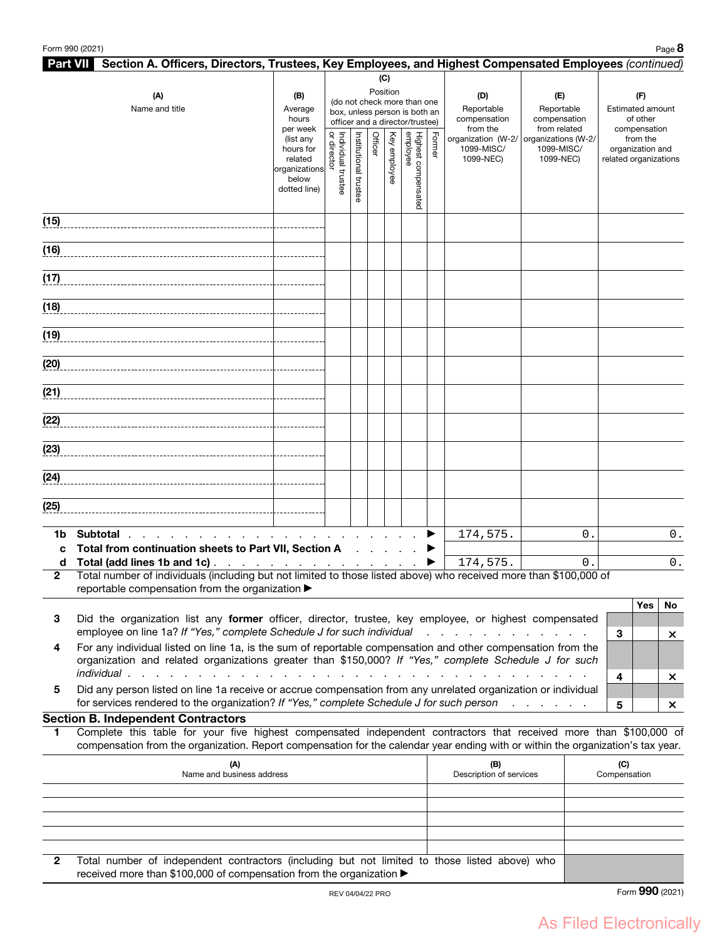|                   | Part VII Section A. Officers, Directors, Trustees, Key Employees, and Highest Compensated Employees (continued)                                                                                                                                        |                                                                                                                    |                                   |                          |         |                                 |                                                                                                                                    |        |                                                                                                |                                                                                                     |            |                       |                                                                                     |       |
|-------------------|--------------------------------------------------------------------------------------------------------------------------------------------------------------------------------------------------------------------------------------------------------|--------------------------------------------------------------------------------------------------------------------|-----------------------------------|--------------------------|---------|---------------------------------|------------------------------------------------------------------------------------------------------------------------------------|--------|------------------------------------------------------------------------------------------------|-----------------------------------------------------------------------------------------------------|------------|-----------------------|-------------------------------------------------------------------------------------|-------|
|                   | (A)<br>Name and title                                                                                                                                                                                                                                  | (B)<br>Average<br>hours<br>per week<br>(list any<br>hours for<br>related<br>organizations<br>below<br>dotted line) | or director<br>Individual trustee | Institutional<br>trustee | Officer | (C)<br>Position<br>Key employee | (do not check more than one<br>box, unless person is both an<br>officer and a director/trustee)<br>Highest compensated<br>employee | Former | (D)<br>Reportable<br>compensation<br>from the<br>organization (W-2/<br>1099-MISC/<br>1099-NEC) | (E)<br>Reportable<br>compensation<br>from related<br>organizations (W-2/<br>1099-MISC/<br>1099-NEC) |            | related organizations | (F)<br>Estimated amount<br>of other<br>compensation<br>from the<br>organization and |       |
| (15)              |                                                                                                                                                                                                                                                        |                                                                                                                    |                                   |                          |         |                                 |                                                                                                                                    |        |                                                                                                |                                                                                                     |            |                       |                                                                                     |       |
| (16)              |                                                                                                                                                                                                                                                        |                                                                                                                    |                                   |                          |         |                                 |                                                                                                                                    |        |                                                                                                |                                                                                                     |            |                       |                                                                                     |       |
| (17)              |                                                                                                                                                                                                                                                        |                                                                                                                    |                                   |                          |         |                                 |                                                                                                                                    |        |                                                                                                |                                                                                                     |            |                       |                                                                                     |       |
| (18)              |                                                                                                                                                                                                                                                        |                                                                                                                    |                                   |                          |         |                                 |                                                                                                                                    |        |                                                                                                |                                                                                                     |            |                       |                                                                                     |       |
| (19)              |                                                                                                                                                                                                                                                        |                                                                                                                    |                                   |                          |         |                                 |                                                                                                                                    |        |                                                                                                |                                                                                                     |            |                       |                                                                                     |       |
| (20)              |                                                                                                                                                                                                                                                        |                                                                                                                    |                                   |                          |         |                                 |                                                                                                                                    |        |                                                                                                |                                                                                                     |            |                       |                                                                                     |       |
| (21)              |                                                                                                                                                                                                                                                        |                                                                                                                    |                                   |                          |         |                                 |                                                                                                                                    |        |                                                                                                |                                                                                                     |            |                       |                                                                                     |       |
| (22)              |                                                                                                                                                                                                                                                        |                                                                                                                    |                                   |                          |         |                                 |                                                                                                                                    |        |                                                                                                |                                                                                                     |            |                       |                                                                                     |       |
|                   |                                                                                                                                                                                                                                                        |                                                                                                                    |                                   |                          |         |                                 |                                                                                                                                    |        |                                                                                                |                                                                                                     |            |                       |                                                                                     |       |
| (23)              |                                                                                                                                                                                                                                                        |                                                                                                                    |                                   |                          |         |                                 |                                                                                                                                    |        |                                                                                                |                                                                                                     |            |                       |                                                                                     |       |
| (24)              |                                                                                                                                                                                                                                                        |                                                                                                                    |                                   |                          |         |                                 |                                                                                                                                    |        |                                                                                                |                                                                                                     |            |                       |                                                                                     |       |
| (25)              |                                                                                                                                                                                                                                                        |                                                                                                                    |                                   |                          |         |                                 |                                                                                                                                    |        |                                                                                                |                                                                                                     |            |                       |                                                                                     |       |
| 1b.<br>C          | Subtotal<br>Total from continuation sheets to Part VII, Section A                                                                                                                                                                                      |                                                                                                                    |                                   |                          |         |                                 |                                                                                                                                    |        | 174,575.                                                                                       |                                                                                                     | 0.         |                       |                                                                                     | $0$ . |
| d<br>$\mathbf{2}$ | Total (add lines 1b and 1c)<br>Total number of individuals (including but not limited to those listed above) who received more than \$100,000 of                                                                                                       |                                                                                                                    |                                   |                          |         |                                 |                                                                                                                                    |        | 174,575.                                                                                       |                                                                                                     | $\Omega$ . |                       |                                                                                     | $0$ . |
|                   | reportable compensation from the organization ▶                                                                                                                                                                                                        |                                                                                                                    |                                   |                          |         |                                 |                                                                                                                                    |        |                                                                                                |                                                                                                     |            |                       | <b>Yes</b>                                                                          | No    |
| 3                 | Did the organization list any former officer, director, trustee, key employee, or highest compensated<br>employee on line 1a? If "Yes," complete Schedule J for such individual                                                                        |                                                                                                                    |                                   |                          |         |                                 |                                                                                                                                    |        |                                                                                                |                                                                                                     |            | 3                     |                                                                                     | ×     |
| 4                 | For any individual listed on line 1a, is the sum of reportable compensation and other compensation from the<br>organization and related organizations greater than \$150,000? If "Yes," complete Schedule J for such<br>individual.                    |                                                                                                                    |                                   |                          |         |                                 |                                                                                                                                    |        |                                                                                                |                                                                                                     |            | 4                     |                                                                                     | ×     |
| 5                 | Did any person listed on line 1a receive or accrue compensation from any unrelated organization or individual<br>for services rendered to the organization? If "Yes," complete Schedule J for such person                                              |                                                                                                                    |                                   |                          |         |                                 |                                                                                                                                    |        |                                                                                                | and a series of                                                                                     |            | 5                     |                                                                                     | ×     |
|                   | <b>Section B. Independent Contractors</b>                                                                                                                                                                                                              |                                                                                                                    |                                   |                          |         |                                 |                                                                                                                                    |        |                                                                                                |                                                                                                     |            |                       |                                                                                     |       |
| 1                 | Complete this table for your five highest compensated independent contractors that received more than \$100,000 of<br>compensation from the organization. Report compensation for the calendar year ending with or within the organization's tax year. |                                                                                                                    |                                   |                          |         |                                 |                                                                                                                                    |        |                                                                                                |                                                                                                     |            |                       |                                                                                     |       |
|                   | (A)<br>Name and business address                                                                                                                                                                                                                       |                                                                                                                    |                                   |                          |         |                                 |                                                                                                                                    |        | (B)<br>Description of services                                                                 |                                                                                                     |            | (C)<br>Compensation   |                                                                                     |       |
|                   |                                                                                                                                                                                                                                                        |                                                                                                                    |                                   |                          |         |                                 |                                                                                                                                    |        |                                                                                                |                                                                                                     |            |                       |                                                                                     |       |
|                   |                                                                                                                                                                                                                                                        |                                                                                                                    |                                   |                          |         |                                 |                                                                                                                                    |        |                                                                                                |                                                                                                     |            |                       |                                                                                     |       |

| 2 Total number of independent contractors (including but not limited to those listed above) who |  |  |  |  |  |  |  |  |
|-------------------------------------------------------------------------------------------------|--|--|--|--|--|--|--|--|
| received more than \$100,000 of compensation from the organization ▶                            |  |  |  |  |  |  |  |  |

## As Filed Electronically